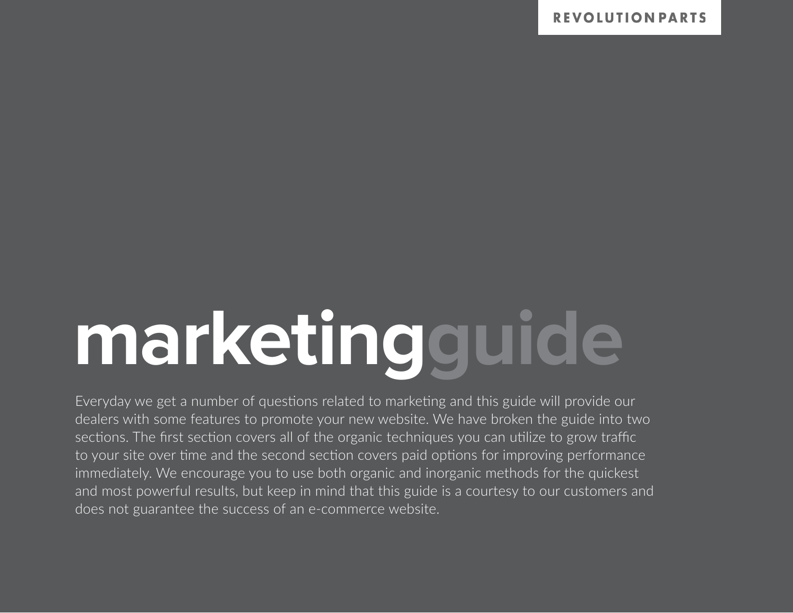# **marketingguide**

Everyday we get a number of questions related to marketing and this guide will provide our dealers with some features to promote your new website. We have broken the guide into two sections. The first section covers all of the organic techniques you can utilize to grow traffic to your site over time and the second section covers paid options for improving performance immediately. We encourage you to use both organic and inorganic methods for the quickest and most powerful results, but keep in mind that this guide is a courtesy to our customers and does not guarantee the success of an e-commerce website.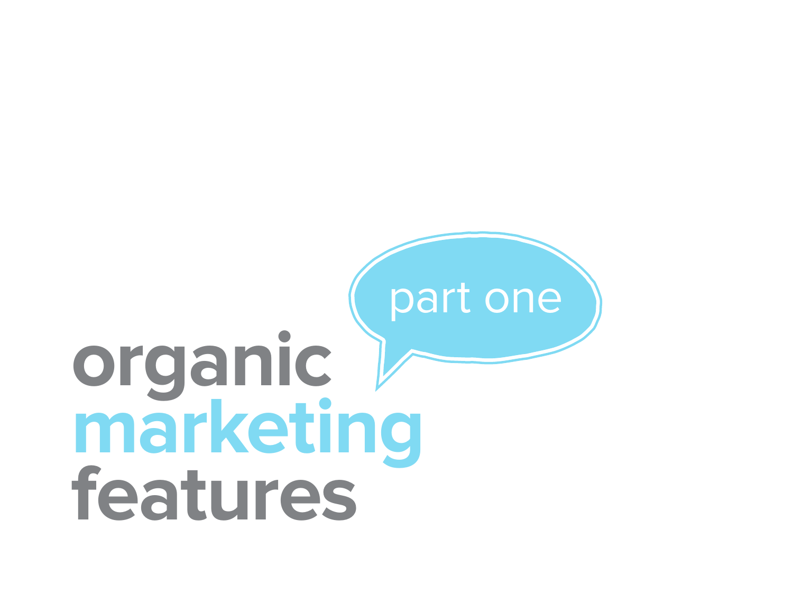# **organic marketing features** part one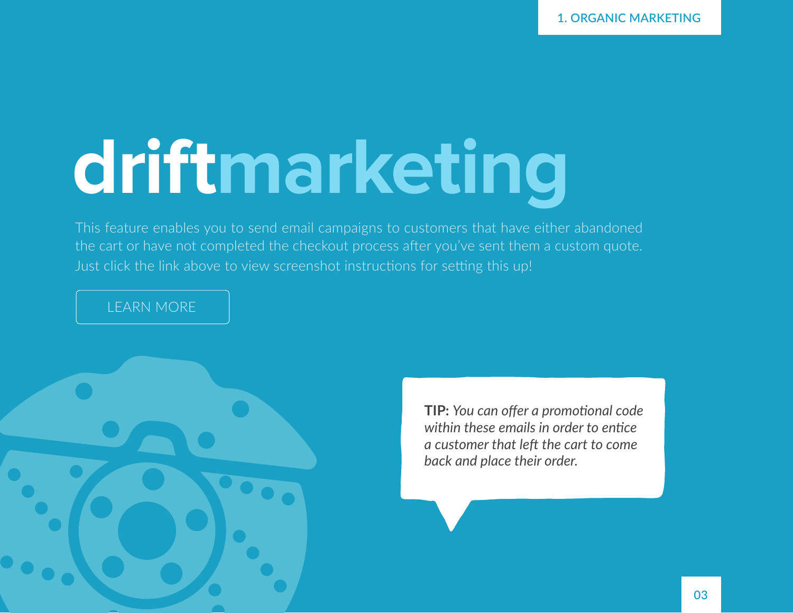**1. ORGANIC MARKETING**

## **driftmarketing**

This feature enables you to send email campaigns to customers that have either abandoned the cart or have not completed the checkout process after you've sent them a custom quote. Just click the link above to view screenshot instructions for setting this up!

### [LEARN MORE](https://support.revolutionparts.com/hc/en-us/articles/203412619-Setting-Up-Your-Drift-Marketing-Campaign)



**TIP:** *You can offer a promotional code within these emails in order to entice a customer that left the cart to come back and place their order.*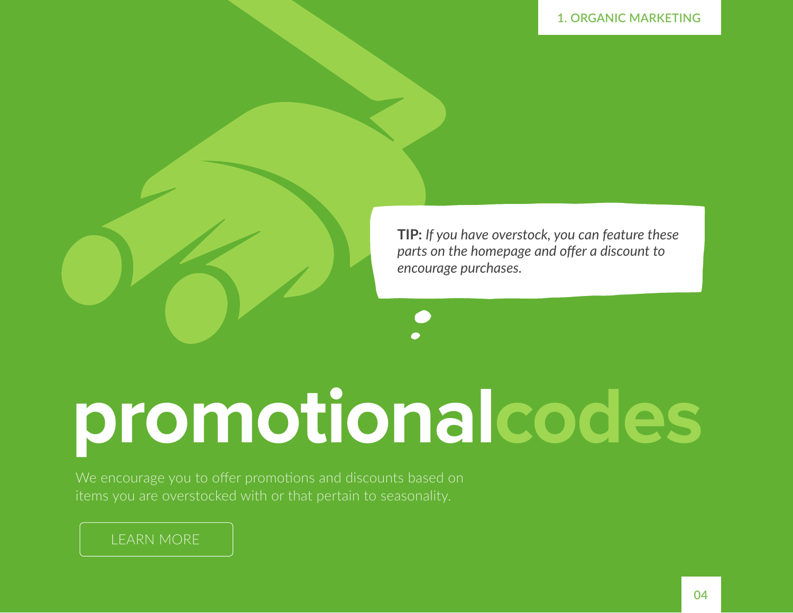

**TIP:** *If you have overstock, you can feature these parts on the homepage and offer a discount to encourage purchases.*

## **promotionalcodes**

We encourage you to offer promotions and discounts based on items you are overstocked with or that pertain to seasonality.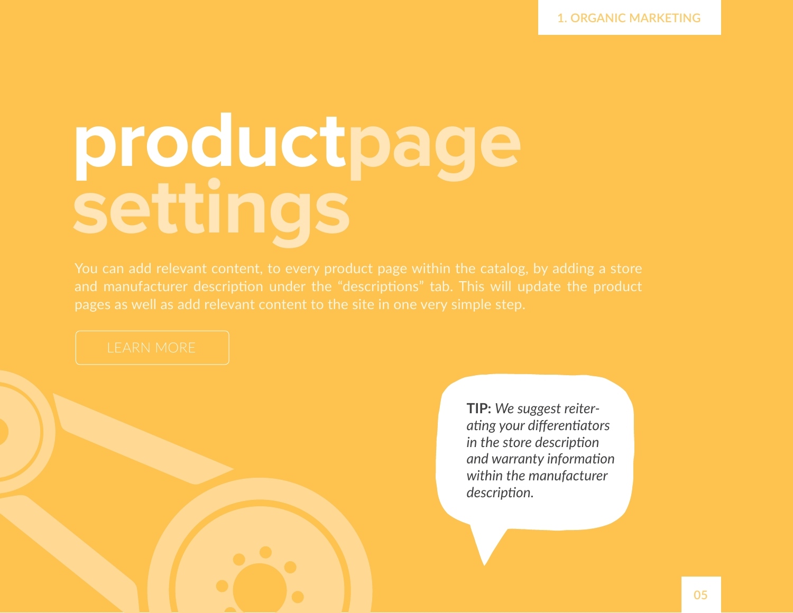# **productpage settings**

**TIP:** *We suggest reiterating your differentiators in the store description and warranty information within the manufacturer description.*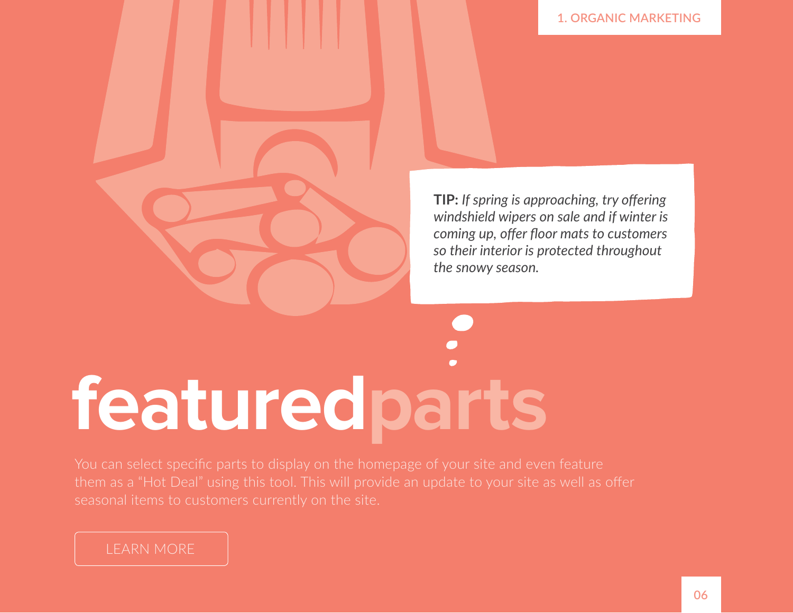

**TIP:** *If spring is approaching, try offering windshield wipers on sale and if winter is coming up, offer floor mats to customers so their interior is protected throughout the snowy season.*

# **featuredparts**

seasonal items to customers currently on the site.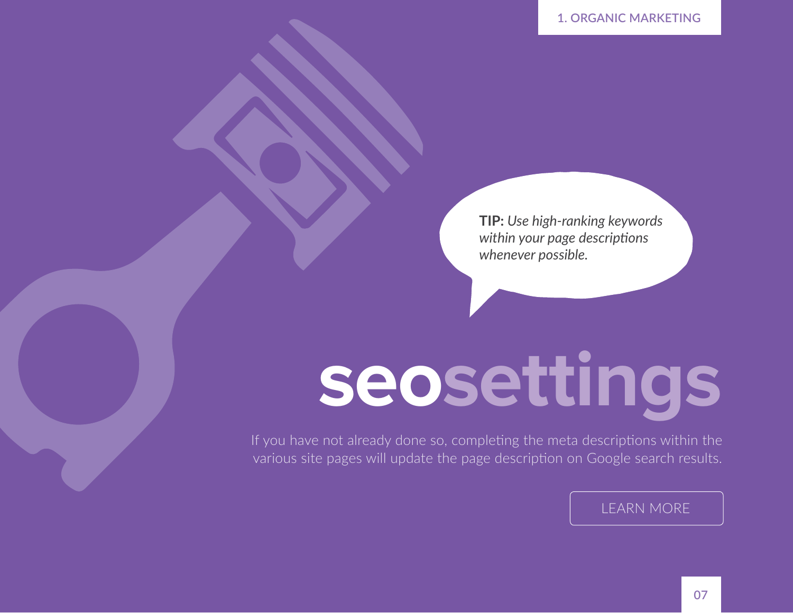**TIP:** *Use high-ranking keywords within your page descriptions whenever possible.*

## **seosettings**

If you have not already done so, completing the meta descriptions within the various site pages will update the page description on Google search results.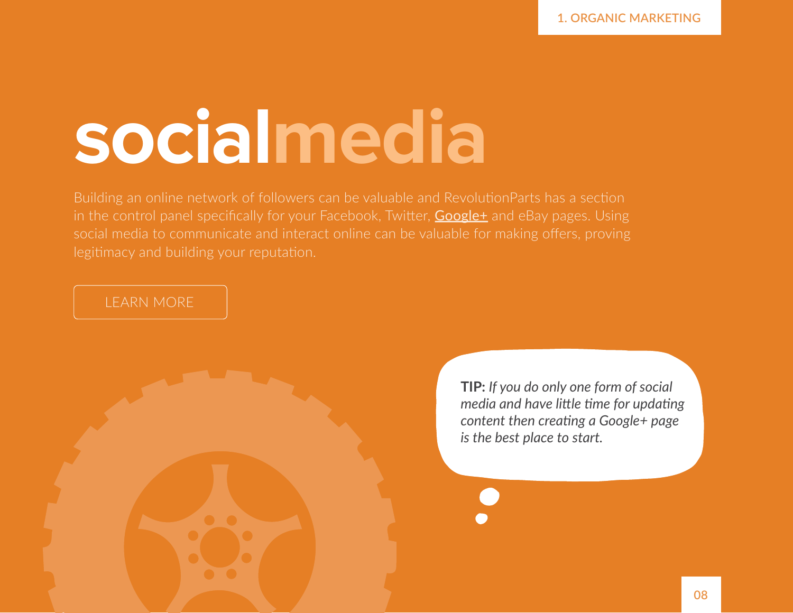### **socialmedia**

Building an online network of followers can be valuable and RevolutionParts has a section in the control panel specifically for your Facebook, Twitter, **[Google+](https://support.revolutionparts.com/hc/en-us/articles/204787019-Creating-a-Google-Brand-page)** and eBay pages. Using social media to communicate and interact online can be valuable for making offers, proving legitimacy and building your reputation.

### [LEARN MORE](https://support.revolutionparts.com/hc/en-us/articles/204787019-Creating-a-Google-Brand-page)

**TIP:** *If you do only one form of social media and have little time for updating content then creating a Google+ page is the best place to start.*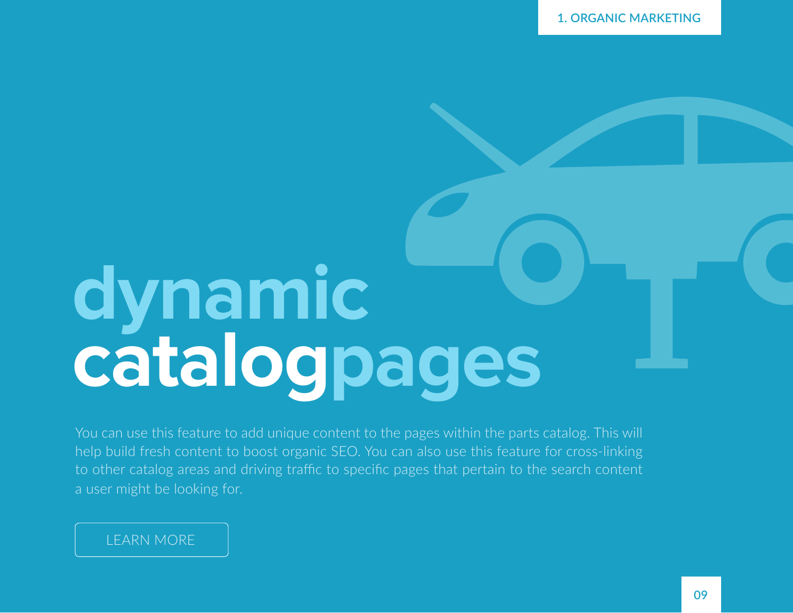### **dynamic [catalogpages](https://support.revolutionparts.com/hc/en-us/articles/204015809-Using-the-Dynamic-Catalog-Pages)**

You can use this feature to add unique content to the pages within the parts catalog. This will help build fresh content to boost organic SEO. You can also use this feature for cross-linking to other catalog areas and driving traffic to specific pages that pertain to the search content a user might be looking for.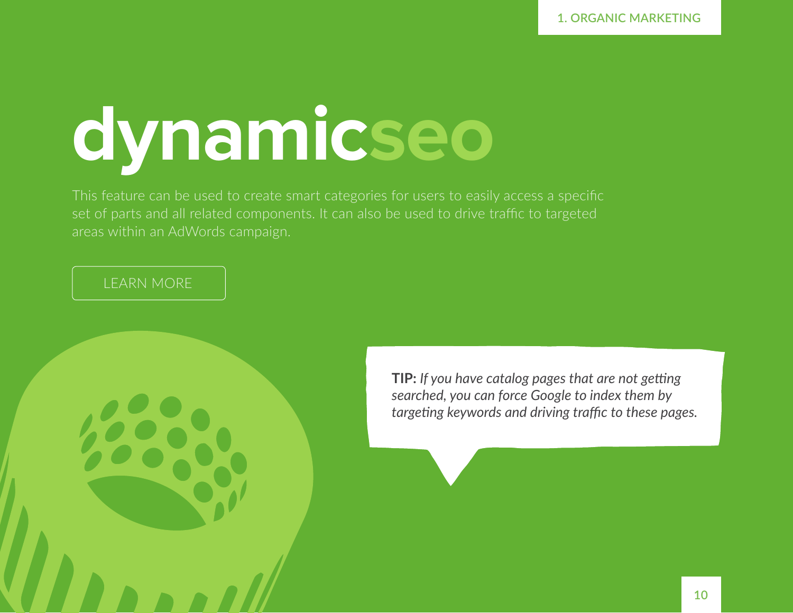# **dynamicseo**

This feature can be used to create smart categories for users to easily access a specific set of parts and all related components. It can also be used to drive traffic to targeted areas within an AdWords campaign.

### [LEARN MORE](https://support.revolutionparts.com/hc/en-us/articles/205385705-How-To-Add-Dynamic-SEO)

**TIP:** *If you have catalog pages that are not getting searched, you can force Google to index them by targeting keywords and driving traffic to these pages.*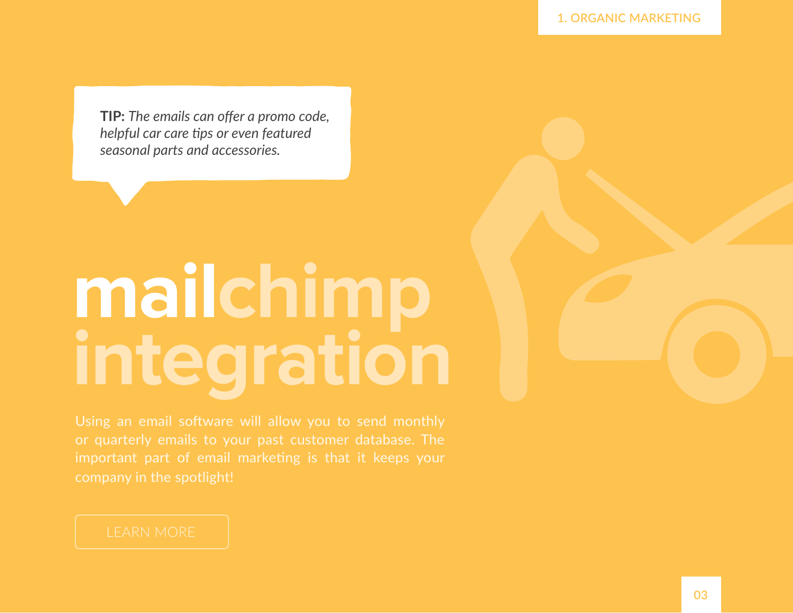**TIP:** *The emails can offer a promo code, helpful car care tips or even featured seasonal parts and accessories.* 

# **mailchimp integration**

Using an email software will allow you to send monthly company in the spotlight!

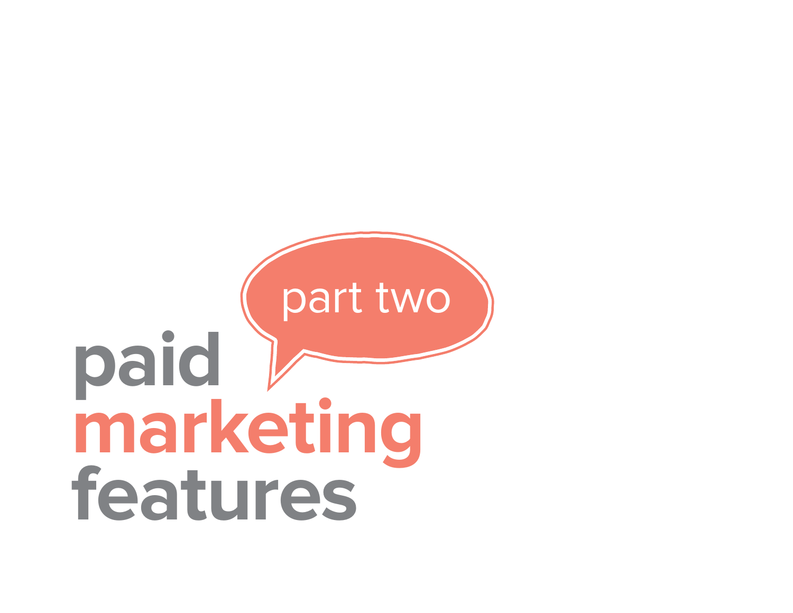### **paid marketing features** part two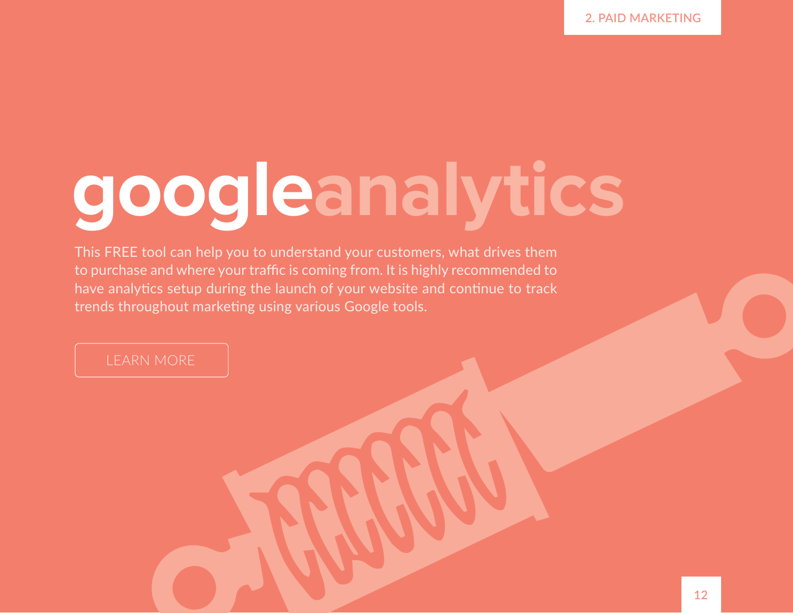## **googleanalytics**

This FREE tool can help you to understand your customers, what drives them to purchase and where your traffic is coming from. It is highly recommended to have analytics setup during the launch of your website and continue to track trends throughout marketing using various Google tools.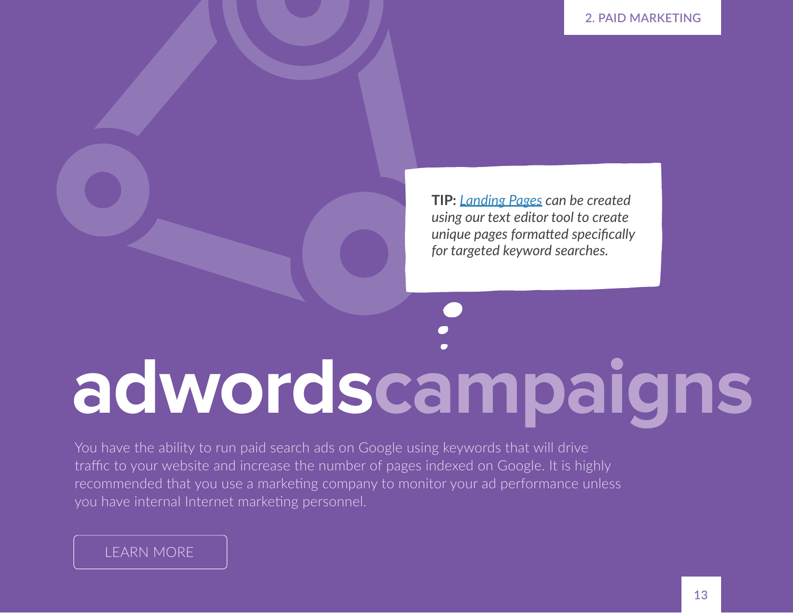**TIP:** *[Landing Pages](https://support.revolutionparts.com/hc/en-us/articles/201778805-Using-the-text-editor) can be created using our text editor tool to create unique pages formatted specifically for targeted keyword searches.*

# **adwordscampaigns**

You have the ability to run paid search ads on Google using keywords that will drive traffic to your website and increase the number of pages indexed on Google. It is highly recommended that you use a marketing company to monitor your ad performance unless you have internal Internet marketing personnel.